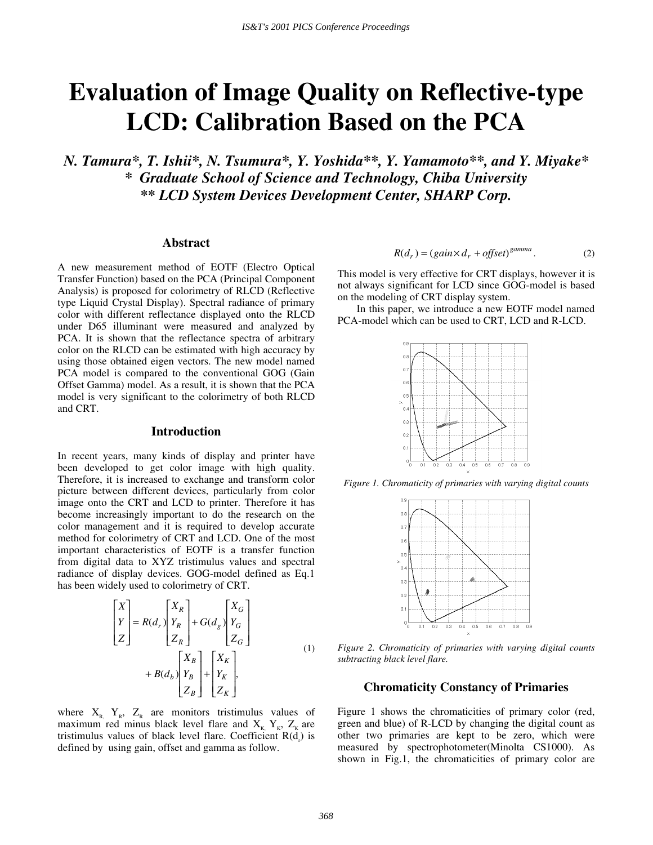# **Evaluation of Image Quality on Reflective-type LCD: Calibration Based on the PCA**

*N. Tamura\*, T. Ishii\*, N. Tsumura\*, Y. Yoshida\*\*, Y. Yamamoto\*\*, and Y. Miyake\* \* Graduate School of Science and Technology, Chiba University \*\* LCD System Devices Development Center, SHARP Corp.* 

# **Abstract**

A new measurement method of EOTF (Electro Optical Transfer Function) based on the PCA (Principal Component Analysis) is proposed for colorimetry of RLCD (Reflective type Liquid Crystal Display). Spectral radiance of primary color with different reflectance displayed onto the RLCD under D65 illuminant were measured and analyzed by PCA. It is shown that the reflectance spectra of arbitrary color on the RLCD can be estimated with high accuracy by using those obtained eigen vectors. The new model named PCA model is compared to the conventional GOG (Gain Offset Gamma) model. As a result, it is shown that the PCA model is very significant to the colorimetry of both RLCD and CRT.

#### **Introduction**

In recent years, many kinds of display and printer have been developed to get color image with high quality. Therefore, it is increased to exchange and transform color picture between different devices, particularly from color image onto the CRT and LCD to printer. Therefore it has become increasingly important to do the research on the color management and it is required to develop accurate method for colorimetry of CRT and LCD. One of the most important characteristics of EOTF is a transfer function from digital data to XYZ tristimulus values and spectral radiance of display devices. GOG-model defined as Eq.1 has been widely used to colorimetry of CRT.

$$
\begin{bmatrix} X \ Y \ Z \end{bmatrix} = R(d_r) \begin{bmatrix} X_R \ Y_R \ Z_R \end{bmatrix} + G(d_g) \begin{bmatrix} X_G \ Y_G \ Z_G \end{bmatrix}
$$
  
+ 
$$
B(d_b) \begin{bmatrix} X_B \ Y_B \ Z_B \end{bmatrix} + \begin{bmatrix} X_K \ Y_K \ Z_K \end{bmatrix},
$$
 (1)

where  $X_{R}$ ,  $Y_{R}$ ,  $Z_{R}$  are monitors tristimulus values of maximum red minus black level flare and  $X_K$ ,  $Y_K$ ,  $Z_K$  are tristimulus values of black level flare. Coefficient  $R(d<sub>r</sub>)$  is defined by using gain, offset and gamma as follow.

$$
R(dr) = (gain \times dr + offset)^{gamma}
$$
 (2)

This model is very effective for CRT displays, however it is not always significant for LCD since GOG-model is based on the modeling of CRT display system.

In this paper, we introduce a new EOTF model named PCA-model which can be used to CRT, LCD and R-LCD.



*Figure 1. Chromaticity of primaries with varying digital counts* 



*Figure 2. Chromaticity of primaries with varying digital counts subtracting black level flare.* 

## **Chromaticity Constancy of Primaries**

Figure 1 shows the chromaticities of primary color (red, green and blue) of R-LCD by changing the digital count as other two primaries are kept to be zero, which were measured by spectrophotometer(Minolta CS1000). As shown in Fig.1, the chromaticities of primary color are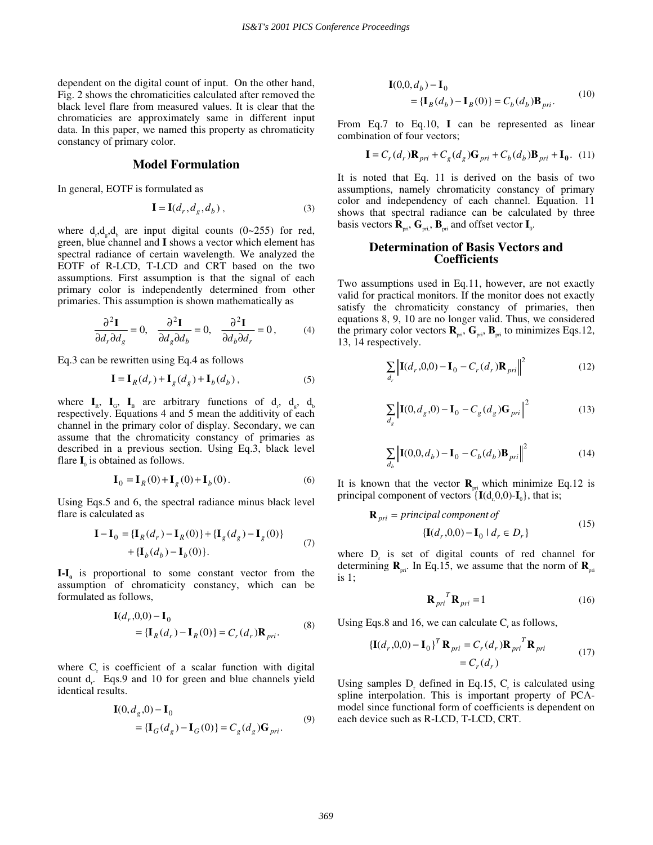dependent on the digital count of input. On the other hand, Fig. 2 shows the chromaticities calculated after removed the black level flare from measured values. It is clear that the chromaticies are approximately same in different input data. In this paper, we named this property as chromaticity constancy of primary color.

## **Model Formulation**

In general, EOTF is formulated as

$$
\mathbf{I} = \mathbf{I}(d_r, d_g, d_b), \tag{3}
$$

where  $d_{r}$ ,  $d_{g}$ ,  $d_{b}$  are input digital counts (0~255) for red, green, blue channel and **I** shows a vector which element has spectral radiance of certain wavelength. We analyzed the EOTF of R-LCD, T-LCD and CRT based on the two assumptions. First assumption is that the signal of each primary color is independently determined from other primaries. This assumption is shown mathematically as

$$
\frac{\partial^2 \mathbf{I}}{\partial d_r \partial d_g} = 0, \quad \frac{\partial^2 \mathbf{I}}{\partial d_g \partial d_b} = 0, \quad \frac{\partial^2 \mathbf{I}}{\partial d_b \partial d_r} = 0, \quad (4)
$$

Eq.3 can be rewritten using Eq.4 as follows

$$
\mathbf{I} = \mathbf{I}_R(d_r) + \mathbf{I}_g(d_g) + \mathbf{I}_b(d_b),
$$
 (5)

where  $I_{R}$ ,  $I_{G}$ ,  $I_{B}$  are arbitrary functions of  $d_{r}$ ,  $d_{g}$ ,  $d_{b}$ respectively. Equations 4 and 5 mean the additivity of each channel in the primary color of display. Secondary, we can assume that the chromaticity constancy of primaries as described in a previous section. Using Eq.3, black level flare  $I_0$  is obtained as follows.

$$
I0 = IR(0) + Ig(0) + Ib(0).
$$
\n(6)

Using Eqs.5 and 6, the spectral radiance minus black level flare is calculated as

$$
\mathbf{I} - \mathbf{I}_0 = \{ \mathbf{I}_R(d_r) - \mathbf{I}_R(0) \} + \{ \mathbf{I}_g(d_g) - \mathbf{I}_g(0) \} + \{ \mathbf{I}_b(d_b) - \mathbf{I}_b(0) \}.
$$
 (7)

I-I<sub>0</sub> is proportional to some constant vector from the assumption of chromaticity constancy, which can be formulated as follows,

$$
\mathbf{I}(d_r, 0, 0) - \mathbf{I}_0
$$
  
= { $\mathbf{I}_R(d_r)$  -  $\mathbf{I}_R(0)$ } =  $C_r(d_r)\mathbf{R}_{pri}$ . (8)

where  $C<sub>r</sub>$  is coefficient of a scalar function with digital count  $d_r$ . Eqs.9 and 10 for green and blue channels yield identical results.

$$
\mathbf{I}(0, d_g, 0) - \mathbf{I}_0
$$
  
= { $\mathbf{I}_G(d_g)$  -  $\mathbf{I}_G(0)$ } =  $C_g(d_g)$ **G**<sub>pri</sub>. (9)

$$
\mathbf{I}(0,0,d_b) - \mathbf{I}_0
$$
  
= { $\mathbf{I}_B(d_b)$  –  $\mathbf{I}_B(0)$ } =  $C_b(d_b) \mathbf{B}_{pri}$ . (10)

From Eq.7 to Eq.10, **I** can be represented as linear combination of four vectors;

$$
\mathbf{I} = C_r(d_r)\mathbf{R}_{pri} + C_g(d_g)\mathbf{G}_{pri} + C_b(d_b)\mathbf{B}_{pri} + \mathbf{I}_0.
$$
 (11)

It is noted that Eq. 11 is derived on the basis of two assumptions, namely chromaticity constancy of primary color and independency of each channel. Equation. 11 shows that spectral radiance can be calculated by three basis vectors  $\mathbf{R}_{\text{pri}}$ ,  $\mathbf{G}_{\text{pri}}$ ,  $\mathbf{B}_{\text{pri}}$  and offset vector  $\mathbf{I}_{0}$ .

## **Determination of Basis Vectors and Coefficients**

Two assumptions used in Eq.11, however, are not exactly valid for practical monitors. If the monitor does not exactly satisfy the chromaticity constancy of primaries, then equations 8, 9, 10 are no longer valid. Thus, we considered the primary color vectors  $\mathbf{R}_{\text{pri}}, \mathbf{G}_{\text{pri}}, \mathbf{B}_{\text{pri}}$  to minimizes Eqs.12, 13, 14 respectively.

$$
\sum_{d_r} \left\| \mathbf{I}(d_r, 0, 0) - \mathbf{I}_0 - C_r(d_r) \mathbf{R}_{pri} \right\|^2 \tag{12}
$$

$$
\sum_{d_g} \left\| \mathbf{I}(0, d_g, 0) - \mathbf{I}_0 - C_g(d_g) \mathbf{G}_{pri} \right\|^2 \tag{13}
$$

$$
\sum_{d_b} \left\| \mathbf{I}(0,0, d_b) - \mathbf{I}_0 - C_b(d_b) \mathbf{B}_{pri} \right\|^2 \tag{14}
$$

It is known that the vector  $\mathbf{R}_{\text{pri}}$  which minimize Eq.12 is principal component of vectors  $\{I(d, 0,0)-I_0\}$ , that is;

$$
\mathbf{R}_{pri} = principal\, of
$$
  
\n
$$
\{ \mathbf{I}(d_r, 0, 0) - \mathbf{I}_0 \mid d_r \in D_r \}
$$
\n(15)

where  $D_r$  is set of digital counts of red channel for determining  $\mathbf{R}_{\text{pri}}$ . In Eq.15, we assume that the norm of  $\mathbf{R}_{\text{pri}}$ is 1;

$$
\mathbf{R}_{pri}^T \mathbf{R}_{pri} = 1 \tag{16}
$$

Using Eqs.8 and 16, we can calculate  $C_r$  as follows,

$$
\begin{aligned} \left\{ \mathbf{I}(d_r, 0, 0) - \mathbf{I}_0 \right\}^T \mathbf{R}_{pri} &= C_r(d_r) \mathbf{R}_{pri} \mathbf{R}_{pri} \\ &= C_r(d_r) \end{aligned} \tag{17}
$$

Using samples  $D_r$  defined in Eq.15,  $C_r$  is calculated using spline interpolation. This is important property of PCAmodel since functional form of coefficients is dependent on each device such as R-LCD, T-LCD, CRT.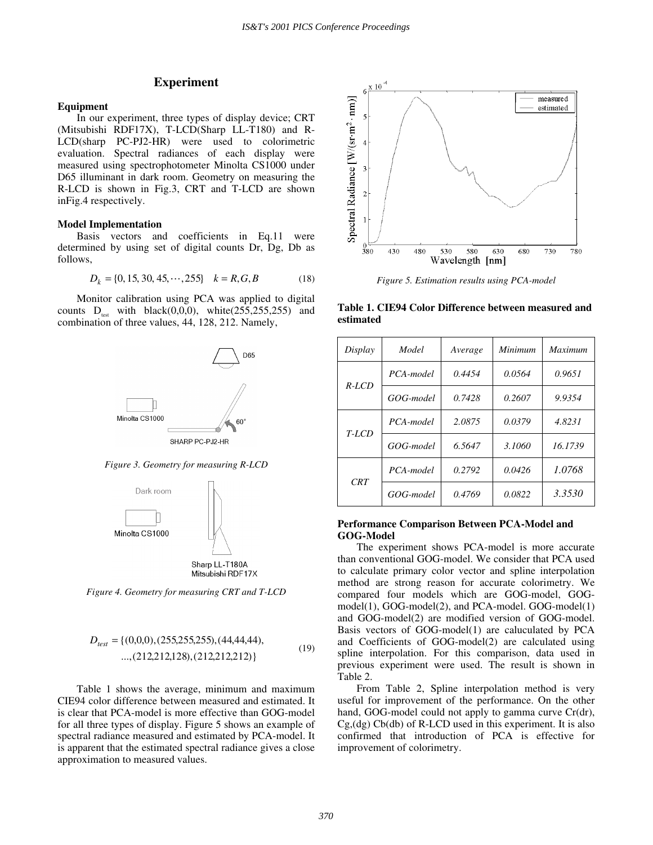# **Experiment**

#### **Equipment**

In our experiment, three types of display device; CRT (Mitsubishi RDF17X), T-LCD(Sharp LL-T180) and R-LCD(sharp PC-PJ2-HR) were used to colorimetric evaluation. Spectral radiances of each display were measured using spectrophotometer Minolta CS1000 under D65 illuminant in dark room. Geometry on measuring the R-LCD is shown in Fig.3, CRT and T-LCD are shown inFig.4 respectively.

#### **Model Implementation**

Basis vectors and coefficients in Eq.11 were determined by using set of digital counts Dr, Dg, Db as follows, *p*<sub>*k*</sub> = {0, 15, 30, 45, ..., 255}  $k = R$ , *G*, *B* (18)

$$
D_k = \{0, 15, 30, 45, \cdots, 255\} \quad k = R, G, B \tag{18}
$$

Monitor calibration using PCA was applied to digital counts  $D_{test}$  with black(0,0,0), white(255,255,255) and combination of three values, 44, 128, 212. Namely,



*Figure 3. Geometry for measuring R-LCD* 



*Figure 4. Geometry for measuring CRT and T-LCD* 

$$
D_{test} = \{(0,0,0), (255,255,255), (44,44,44), \dots, (212,212,128), (212,212,212,212)\}\
$$
\n
$$
(19)
$$

Table 1 shows the average, minimum and maximum CIE94 color difference between measured and estimated. It is clear that PCA-model is more effective than GOG-model for all three types of display. Figure 5 shows an example of spectral radiance measured and estimated by PCA-model. It is apparent that the estimated spectral radiance gives a close approximation to measured values.



*Figure 5. Estimation results using PCA-model* 

**Table 1. CIE94 Color Difference between measured and estimated** 

| Display | Model     | Average | Minimum | <b>Maximum</b> |
|---------|-----------|---------|---------|----------------|
| $R-LCD$ | PCA-model | 0.4454  | 0.0564  | 0.9651         |
|         | GOG-model | 0.7428  | 0.2607  | 9.9354         |
| $T-LCD$ | PCA-model | 2.0875  | 0.0379  | 4.8231         |
|         | GOG-model | 6.5647  | 3.1060  | 16.1739        |
| CRT     | PCA-model | 0.2792  | 0.0426  | 1.0768         |
|         | GOG-model | 0.4769  | 0.0822  | 3.3530         |

#### **Performance Comparison Between PCA-Model and GOG-Model**

The experiment shows PCA-model is more accurate than conventional GOG-model. We consider that PCA used to calculate primary color vector and spline interpolation method are strong reason for accurate colorimetry. We compared four models which are GOG-model, GOGmodel(1), GOG-model(2), and PCA-model. GOG-model(1) and GOG-model(2) are modified version of GOG-model. Basis vectors of GOG-model(1) are caluculated by PCA and Coefficients of GOG-model(2) are calculated using spline interpolation. For this comparison, data used in previous experiment were used. The result is shown in Table 2.

From Table 2, Spline interpolation method is very useful for improvement of the performance. On the other hand, GOG-model could not apply to gamma curve Cr(dr),  $Cg$ ,  $(dg)$  Cb $(db)$  of R-LCD used in this experiment. It is also confirmed that introduction of PCA is effective for improvement of colorimetry.